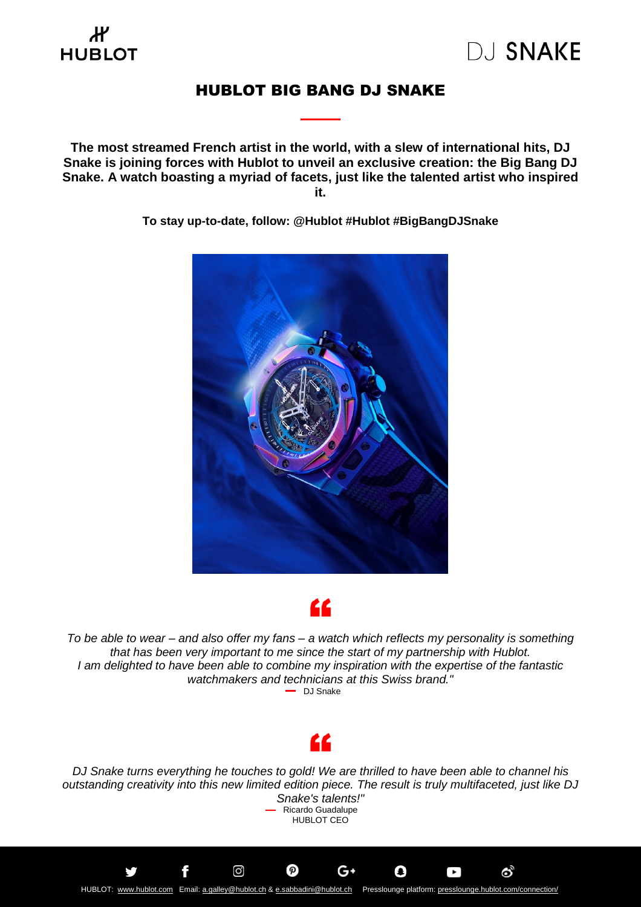### Ж **HUBLOT**

### HUBLOT BIG BANG DJ SNAKE

**The most streamed French artist in the world, with a slew of international hits, DJ Snake is joining forces with Hublot to unveil an exclusive creation: the Big Bang DJ Snake. A watch boasting a myriad of facets, just like the talented artist who inspired it.**

**To stay up-to-date, follow: @Hublot #Hublot #BigBangDJSnake**





To be able to wear – and also offer my fans – a watch which reflects my personality is something *that has been very important to me since the start of my partnership with Hublot. I am delighted to have been able to combine my inspiration with the expertise of the fantastic watchmakers and technicians at this Swiss brand."* DJ Snake



*DJ Snake turns everything he touches to gold! We are thrilled to have been able to channel his outstanding creativity into this new limited edition piece. The result is truly multifaceted, just like DJ Snake's talents!"* Ricardo Guadalupe HUBLOT CEO

G۰

O

 $\bullet$ 

හි

f

ම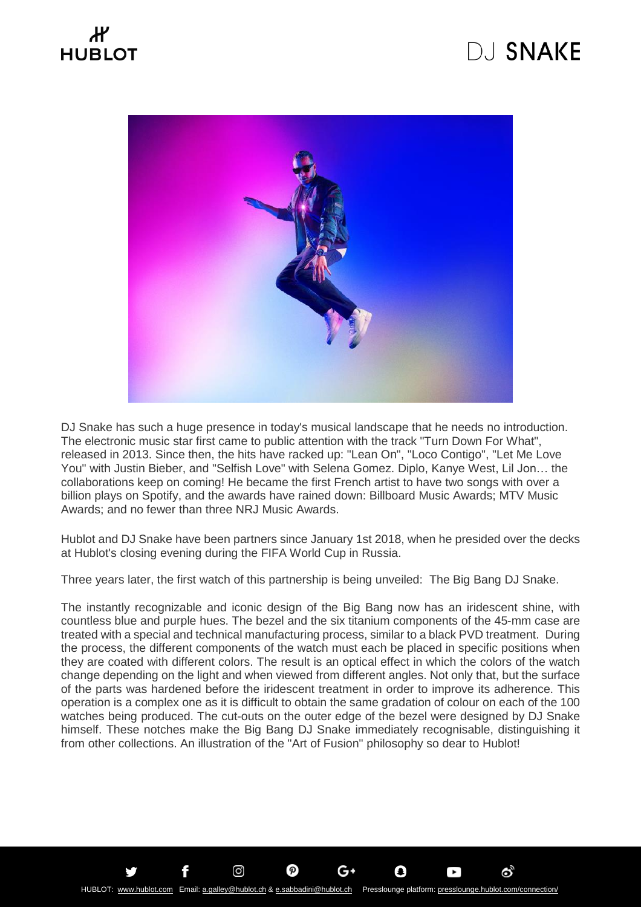# **HUBLOT**

## **DJ SNAKE**



DJ Snake has such a huge presence in today's musical landscape that he needs no introduction. The electronic music star first came to public attention with the track "Turn Down For What", released in 2013. Since then, the hits have racked up: "Lean On", "Loco Contigo", "Let Me Love You" with Justin Bieber, and "Selfish Love" with Selena Gomez. Diplo, Kanye West, Lil Jon… the collaborations keep on coming! He became the first French artist to have two songs with over a billion plays on Spotify, and the awards have rained down: Billboard Music Awards; MTV Music Awards; and no fewer than three NRJ Music Awards.

Hublot and DJ Snake have been partners since January 1st 2018, when he presided over the decks at Hublot's closing evening during the FIFA World Cup in Russia.

Three years later, the first watch of this partnership is being unveiled: The Big Bang DJ Snake.

The instantly recognizable and iconic design of the Big Bang now has an iridescent shine, with countless blue and purple hues. The bezel and the six titanium components of the 45-mm case are treated with a special and technical manufacturing process, similar to a black PVD treatment. During the process, the different components of the watch must each be placed in specific positions when they are coated with different colors. The result is an optical effect in which the colors of the watch change depending on the light and when viewed from different angles. Not only that, but the surface of the parts was hardened before the iridescent treatment in order to improve its adherence. This operation is a complex one as it is difficult to obtain the same gradation of colour on each of the 100 watches being produced. The cut-outs on the outer edge of the bezel were designed by DJ Snake himself. These notches make the Big Bang DJ Snake immediately recognisable, distinguishing it from other collections. An illustration of the "Art of Fusion" philosophy so dear to Hublot!

G۰

O

 $\bullet$ 

ෙ

 $\circledcirc$ 

f

ලු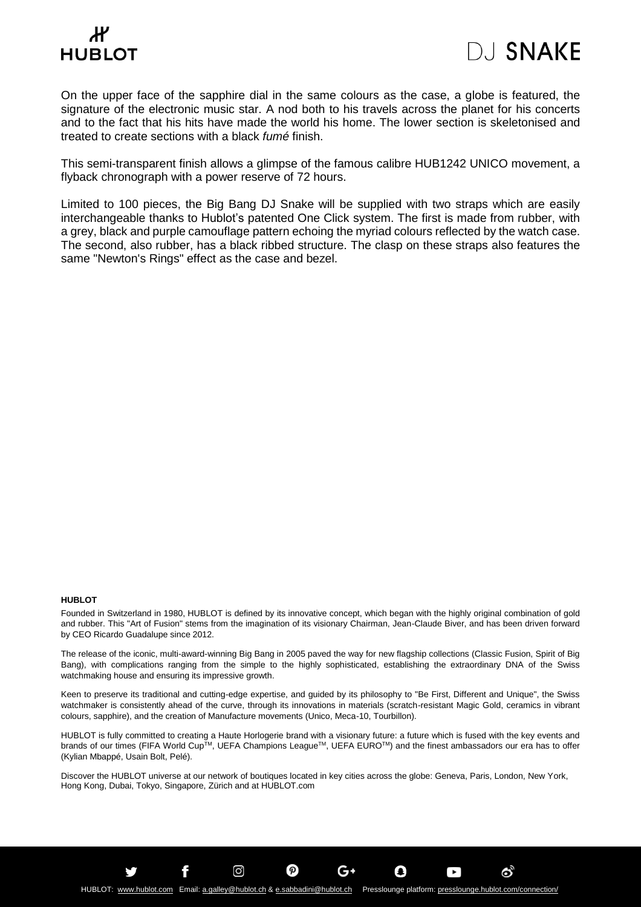### $\boldsymbol{\mu}$ **HUBLOT**



On the upper face of the sapphire dial in the same colours as the case, a globe is featured, the signature of the electronic music star. A nod both to his travels across the planet for his concerts and to the fact that his hits have made the world his home. The lower section is skeletonised and treated to create sections with a black *fumé* finish.

This semi-transparent finish allows a glimpse of the famous calibre HUB1242 UNICO movement, a flyback chronograph with a power reserve of 72 hours.

Limited to 100 pieces, the Big Bang DJ Snake will be supplied with two straps which are easily interchangeable thanks to Hublot's patented One Click system. The first is made from rubber, with a grey, black and purple camouflage pattern echoing the myriad colours reflected by the watch case. The second, also rubber, has a black ribbed structure. The clasp on these straps also features the same "Newton's Rings" effect as the case and bezel.

### **HUBLOT**

Founded in Switzerland in 1980, HUBLOT is defined by its innovative concept, which began with the highly original combination of gold and rubber. This "Art of Fusion" stems from the imagination of its visionary Chairman, Jean-Claude Biver, and has been driven forward by CEO Ricardo Guadalupe since 2012.

The release of the iconic, multi-award-winning Big Bang in 2005 paved the way for new flagship collections (Classic Fusion, Spirit of Big Bang), with complications ranging from the simple to the highly sophisticated, establishing the extraordinary DNA of the Swiss watchmaking house and ensuring its impressive growth.

Keen to preserve its traditional and cutting-edge expertise, and guided by its philosophy to "Be First, Different and Unique", the Swiss watchmaker is consistently ahead of the curve, through its innovations in materials (scratch-resistant Magic Gold, ceramics in vibrant colours, sapphire), and the creation of Manufacture movements (Unico, Meca-10, Tourbillon).

HUBLOT is fully committed to creating a Haute Horlogerie brand with a visionary future: a future which is fused with the key events and brands of our times (FIFA World Cup™, UEFA Champions League™, UEFA EURO™) and the finest ambassadors our era has to offer (Kylian Mbappé, Usain Bolt, Pelé).

Discover the HUBLOT universe at our network of boutiques located in key cities across the globe: Geneva, Paris, London, New York, Hong Kong, Dubai, Tokyo, Singapore, Zürich and at HUBLOT.com

G۰

O

 $\blacktriangleright$ 

ේ

 $\circledcirc$ 

f

ම